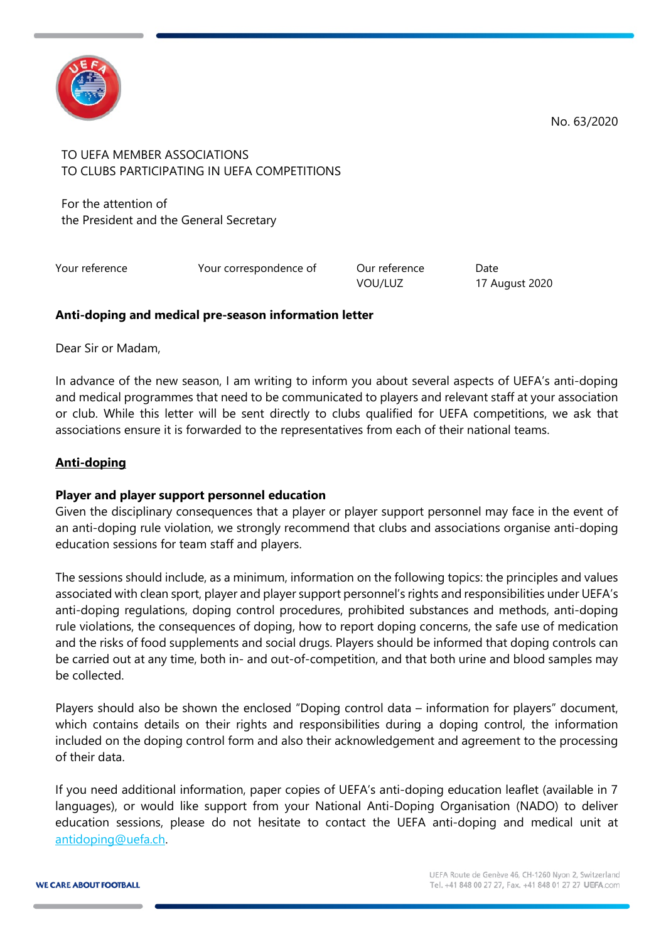

TO UEFA MEMBER ASSOCIATIONS TO CLUBS PARTICIPATING IN UEFA COMPETITIONS

For the attention of the President and the General Secretary

Your reference Tow Your correspondence of The Our reference Date

VOU/LUZ 17 August 2020

### **Anti-doping and medical pre-season information letter**

Dear Sir or Madam,

In advance of the new season, I am writing to inform you about several aspects of UEFA's anti-doping and medical programmes that need to be communicated to players and relevant staff at your association or club. While this letter will be sent directly to clubs qualified for UEFA competitions, we ask that associations ensure it is forwarded to the representatives from each of their national teams.

## **Anti-doping**

#### **Player and player support personnel education**

Given the disciplinary consequences that a player or player support personnel may face in the event of an anti-doping rule violation, we strongly recommend that clubs and associations organise anti-doping education sessions for team staff and players.

The sessions should include, as a minimum, information on the following topics: the principles and values associated with clean sport, player and player support personnel's rights and responsibilities under UEFA's anti-doping regulations, doping control procedures, prohibited substances and methods, anti-doping rule violations, the consequences of doping, how to report doping concerns, the safe use of medication and the risks of food supplements and social drugs. Players should be informed that doping controls can be carried out at any time, both in- and out-of-competition, and that both urine and blood samples may be collected.

Players should also be shown the enclosed "Doping control data – information for players" document, which contains details on their rights and responsibilities during a doping control, the information included on the doping control form and also their acknowledgement and agreement to the processing of their data.

If you need additional information, paper copies of UEFA's anti-doping education leaflet (available in 7 languages), or would like support from your National Anti-Doping Organisation (NADO) to deliver education sessions, please do not hesitate to contact the UEFA anti-doping and medical unit at [antidoping@uefa.ch.](mailto:antidoping@uefa.ch)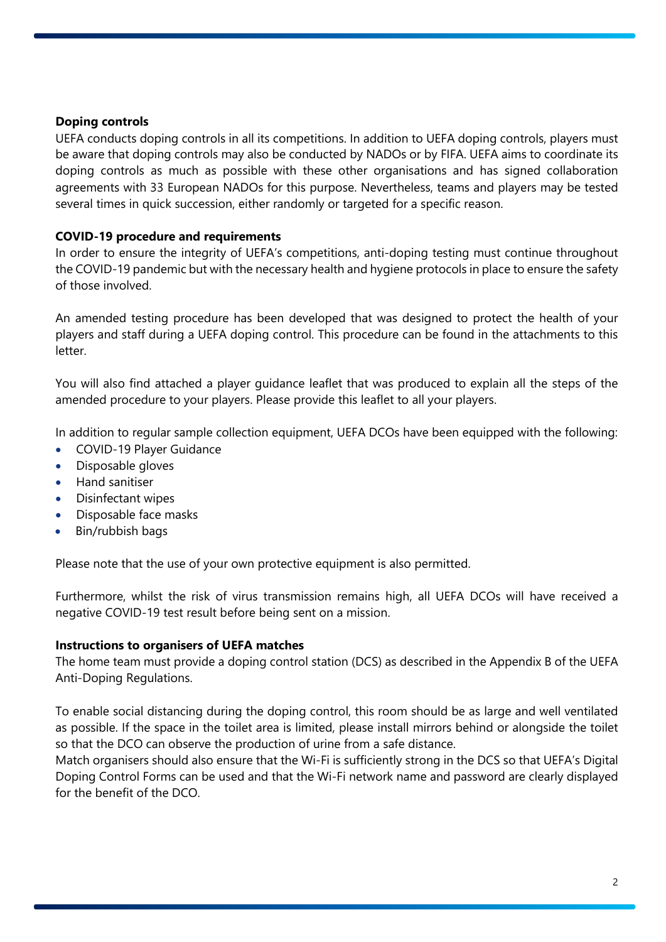### **Doping controls**

UEFA conducts doping controls in all its competitions. In addition to UEFA doping controls, players must be aware that doping controls may also be conducted by NADOs or by FIFA. UEFA aims to coordinate its doping controls as much as possible with these other organisations and has signed collaboration agreements with 33 European NADOs for this purpose. Nevertheless, teams and players may be tested several times in quick succession, either randomly or targeted for a specific reason.

### **COVID-19 procedure and requirements**

In order to ensure the integrity of UEFA's competitions, anti-doping testing must continue throughout the COVID-19 pandemic but with the necessary health and hygiene protocols in place to ensure the safety of those involved.

An amended testing procedure has been developed that was designed to protect the health of your players and staff during a UEFA doping control. This procedure can be found in the attachments to this letter.

You will also find attached a player guidance leaflet that was produced to explain all the steps of the amended procedure to your players. Please provide this leaflet to all your players.

In addition to regular sample collection equipment, UEFA DCOs have been equipped with the following:

- COVID-19 Player Guidance
- Disposable gloves
- Hand sanitiser
- Disinfectant wipes
- Disposable face masks
- Bin/rubbish bags

Please note that the use of your own protective equipment is also permitted.

Furthermore, whilst the risk of virus transmission remains high, all UEFA DCOs will have received a negative COVID-19 test result before being sent on a mission.

#### **Instructions to organisers of UEFA matches**

The home team must provide a doping control station (DCS) as described in the Appendix B of the UEFA Anti-Doping Regulations.

To enable social distancing during the doping control, this room should be as large and well ventilated as possible. If the space in the toilet area is limited, please install mirrors behind or alongside the toilet so that the DCO can observe the production of urine from a safe distance.

Match organisers should also ensure that the Wi-Fi is sufficiently strong in the DCS so that UEFA's Digital Doping Control Forms can be used and that the Wi-Fi network name and password are clearly displayed for the benefit of the DCO.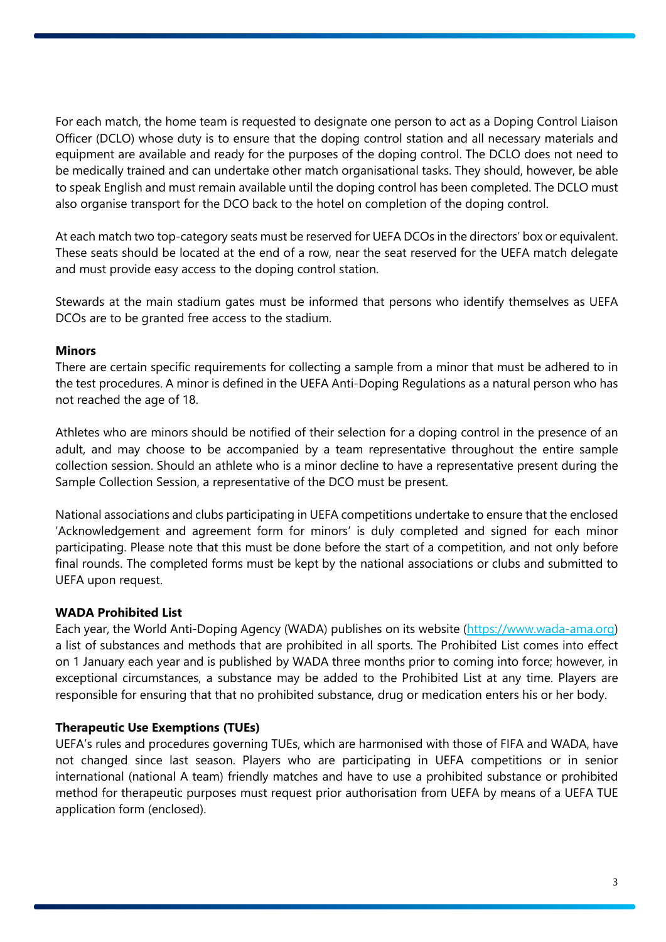For each match, the home team is requested to designate one person to act as a Doping Control Liaison Officer (DCLO) whose duty is to ensure that the doping control station and all necessary materials and equipment are available and ready for the purposes of the doping control. The DCLO does not need to be medically trained and can undertake other match organisational tasks. They should, however, be able to speak English and must remain available until the doping control has been completed. The DCLO must also organise transport for the DCO back to the hotel on completion of the doping control.

At each match two top-category seats must be reserved for UEFA DCOs in the directors' box or equivalent. These seats should be located at the end of a row, near the seat reserved for the UEFA match delegate and must provide easy access to the doping control station.

Stewards at the main stadium gates must be informed that persons who identify themselves as UEFA DCOs are to be granted free access to the stadium.

#### **Minors**

There are certain specific requirements for collecting a sample from a minor that must be adhered to in the test procedures. A minor is defined in the UEFA Anti-Doping Regulations as a natural person who has not reached the age of 18.

Athletes who are minors should be notified of their selection for a doping control in the presence of an adult, and may choose to be accompanied by a team representative throughout the entire sample collection session. Should an athlete who is a minor decline to have a representative present during the Sample Collection Session, a representative of the DCO must be present.

National associations and clubs participating in UEFA competitions undertake to ensure that the enclosed 'Acknowledgement and agreement form for minors' is duly completed and signed for each minor participating. Please note that this must be done before the start of a competition, and not only before final rounds. The completed forms must be kept by the national associations or clubs and submitted to UEFA upon request.

#### **WADA Prohibited List**

Each year, the World Anti-Doping Agency (WADA) publishes on its website [\(https://www.wada-ama.org\)](https://www.wada-ama.org/) a list of substances and methods that are prohibited in all sports. The Prohibited List comes into effect on 1 January each year and is published by WADA three months prior to coming into force; however, in exceptional circumstances, a substance may be added to the Prohibited List at any time. Players are responsible for ensuring that that no prohibited substance, drug or medication enters his or her body.

## **Therapeutic Use Exemptions (TUEs)**

UEFA's rules and procedures governing TUEs, which are harmonised with those of FIFA and WADA, have not changed since last season. Players who are participating in UEFA competitions or in senior international (national A team) friendly matches and have to use a prohibited substance or prohibited method for therapeutic purposes must request prior authorisation from UEFA by means of a UEFA TUE application form (enclosed).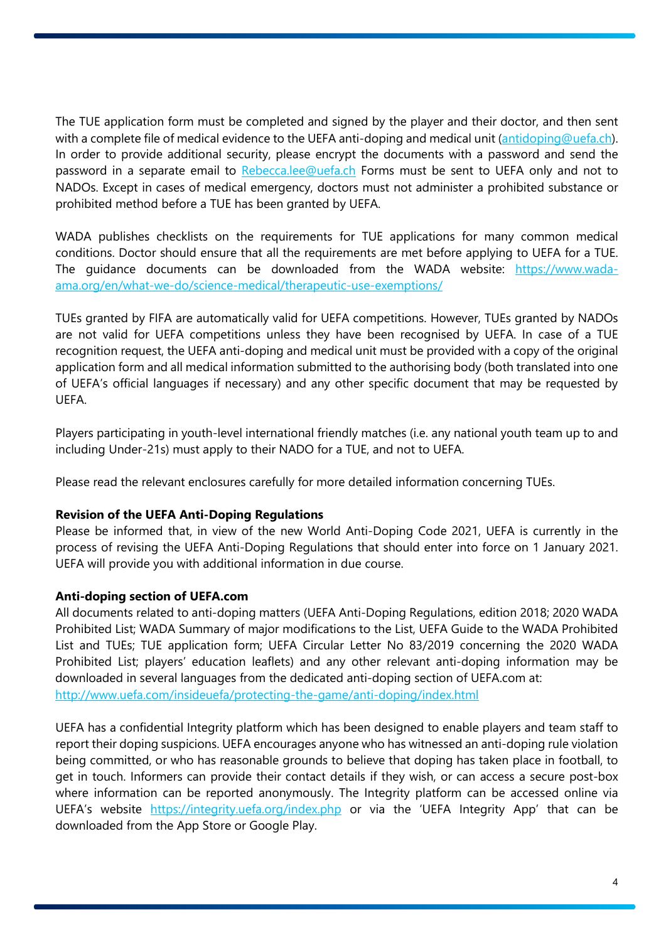The TUE application form must be completed and signed by the player and their doctor, and then sent with a complete file of medical evidence to the UEFA anti-doping and medical unit [\(antidoping@uefa.ch\)](mailto:antidoping@uefa.ch). In order to provide additional security, please encrypt the documents with a password and send the password in a separate email to [Rebecca.lee@uefa.ch](mailto:Rebecca.lee@uefa.ch) Forms must be sent to UEFA only and not to NADOs. Except in cases of medical emergency, doctors must not administer a prohibited substance or prohibited method before a TUE has been granted by UEFA.

WADA publishes checklists on the requirements for TUE applications for many common medical conditions. Doctor should ensure that all the requirements are met before applying to UEFA for a TUE. The guidance documents can be downloaded from the WADA website: [https://www.wada](https://www.wada-ama.org/en/what-we-do/science-medical/therapeutic-use-exemptions/)[ama.org/en/what-we-do/science-medical/therapeutic-use-exemptions/](https://www.wada-ama.org/en/what-we-do/science-medical/therapeutic-use-exemptions/)

TUEs granted by FIFA are automatically valid for UEFA competitions. However, TUEs granted by NADOs are not valid for UEFA competitions unless they have been recognised by UEFA. In case of a TUE recognition request, the UEFA anti-doping and medical unit must be provided with a copy of the original application form and all medical information submitted to the authorising body (both translated into one of UEFA's official languages if necessary) and any other specific document that may be requested by UEFA.

Players participating in youth-level international friendly matches (i.e. any national youth team up to and including Under-21s) must apply to their NADO for a TUE, and not to UEFA.

Please read the relevant enclosures carefully for more detailed information concerning TUEs.

#### **Revision of the UEFA Anti-Doping Regulations**

Please be informed that, in view of the new World Anti-Doping Code 2021, UEFA is currently in the process of revising the UEFA Anti-Doping Regulations that should enter into force on 1 January 2021. UEFA will provide you with additional information in due course.

## **Anti-doping section of UEFA.com**

All documents related to anti-doping matters (UEFA Anti-Doping Regulations, edition 2018; 2020 WADA Prohibited List; WADA Summary of major modifications to the List, UEFA Guide to the WADA Prohibited List and TUEs; TUE application form; UEFA Circular Letter No 83/2019 concerning the 2020 WADA Prohibited List; players' education leaflets) and any other relevant anti-doping information may be downloaded in several languages from the dedicated anti-doping section of UEFA.com at: <http://www.uefa.com/insideuefa/protecting-the-game/anti-doping/index.html>

UEFA has a confidential Integrity platform which has been designed to enable players and team staff to report their doping suspicions. UEFA encourages anyone who has witnessed an anti-doping rule violation being committed, or who has reasonable grounds to believe that doping has taken place in football, to get in touch. Informers can provide their contact details if they wish, or can access a secure post-box where information can be reported anonymously. The Integrity platform can be accessed online via UEFA's website <https://integrity.uefa.org/index.php> or via the 'UEFA Integrity App' that can be downloaded from the App Store or Google Play.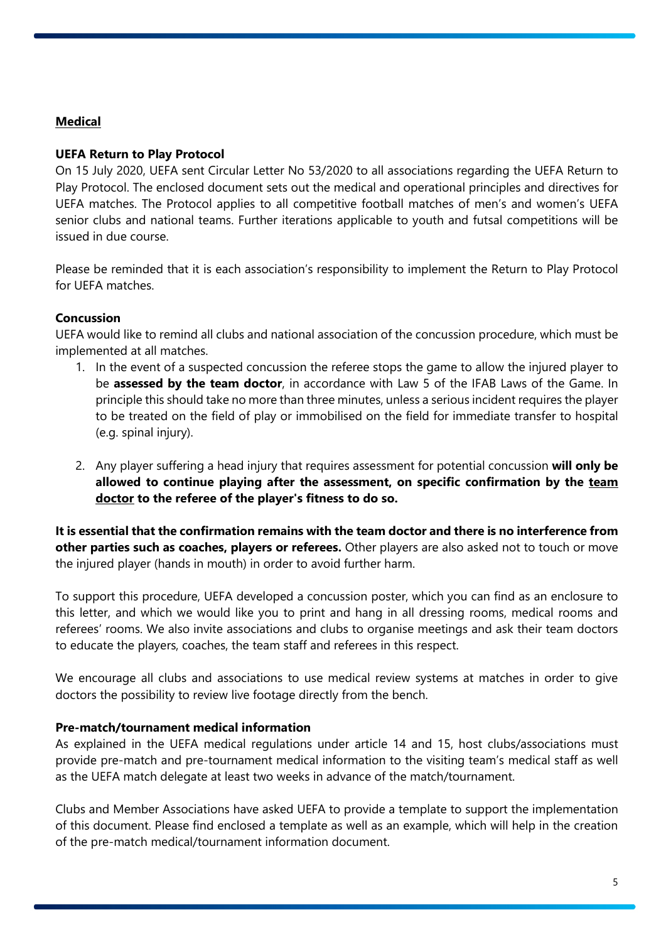# **Medical**

## **UEFA Return to Play Protocol**

On 15 July 2020, UEFA sent Circular Letter No 53/2020 to all associations regarding the UEFA Return to Play Protocol. The enclosed document sets out the medical and operational principles and directives for UEFA matches. The Protocol applies to all competitive football matches of men's and women's UEFA senior clubs and national teams. Further iterations applicable to youth and futsal competitions will be issued in due course.

Please be reminded that it is each association's responsibility to implement the Return to Play Protocol for UEFA matches.

## **Concussion**

UEFA would like to remind all clubs and national association of the concussion procedure, which must be implemented at all matches.

- 1. In the event of a suspected concussion the referee stops the game to allow the injured player to be **assessed by the team doctor**, in accordance with Law 5 of the IFAB Laws of the Game. In principle this should take no more than three minutes, unless a serious incident requires the player to be treated on the field of play or immobilised on the field for immediate transfer to hospital (e.g. spinal injury).
- 2. Any player suffering a head injury that requires assessment for potential concussion **will only be allowed to continue playing after the assessment, on specific confirmation by the team doctor to the referee of the player's fitness to do so.**

**It is essential that the confirmation remains with the team doctor and there is no interference from other parties such as coaches, players or referees.** Other players are also asked not to touch or move the injured player (hands in mouth) in order to avoid further harm.

To support this procedure, UEFA developed a concussion poster, which you can find as an enclosure to this letter, and which we would like you to print and hang in all dressing rooms, medical rooms and referees' rooms. We also invite associations and clubs to organise meetings and ask their team doctors to educate the players, coaches, the team staff and referees in this respect.

We encourage all clubs and associations to use medical review systems at matches in order to give doctors the possibility to review live footage directly from the bench.

## **Pre-match/tournament medical information**

As explained in the UEFA medical regulations under article 14 and 15, host clubs/associations must provide pre-match and pre-tournament medical information to the visiting team's medical staff as well as the UEFA match delegate at least two weeks in advance of the match/tournament.

Clubs and Member Associations have asked UEFA to provide a template to support the implementation of this document. Please find enclosed a template as well as an example, which will help in the creation of the pre-match medical/tournament information document.